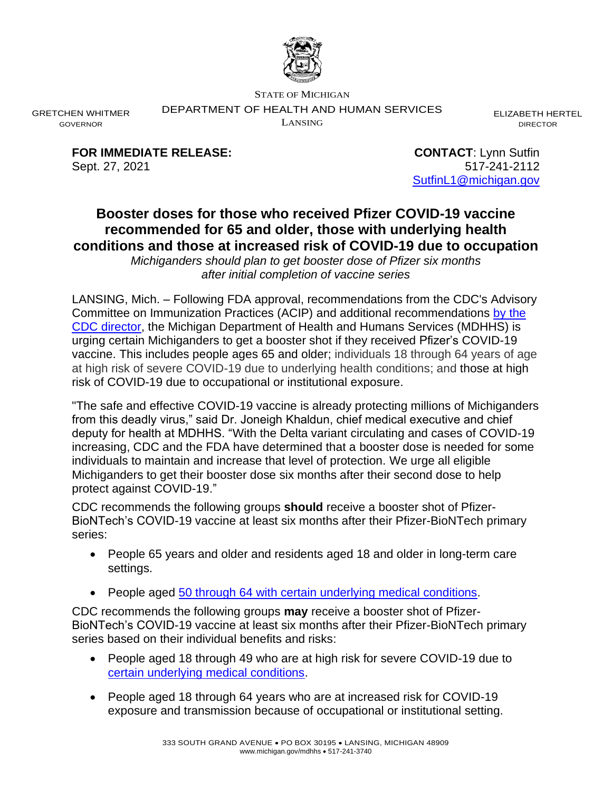

STATE OF MICHIGAN

DEPARTMENT OF HEALTH AND HUMAN SERVICES

LANSING

ELIZABETH HERTEL DIRECTOR

**FOR IMMEDIATE RELEASE: CONTACT**: Lynn Sutfin

GRETCHEN WHITMER GOVERNOR

> Sept. 27, 2021 517-241-2112 [SutfinL1@michigan.gov](mailto:SutfinL1@michigan.gov)

## **Booster doses for those who received Pfizer COVID-19 vaccine recommended for 65 and older, those with underlying health conditions and those at increased risk of COVID-19 due to occupation**

*Michiganders should plan to get booster dose of Pfizer six months after initial completion of vaccine series*

LANSING, Mich. – Following FDA approval, recommendations from the CDC's Advisory Committee on Immunization Practices (ACIP) and additional recommendations [by the](https://www.cdc.gov/media/releases/2021/p0924-booster-recommendations-.html)  CDC [director,](https://www.cdc.gov/media/releases/2021/p0924-booster-recommendations-.html) the Michigan Department of Health and Humans Services (MDHHS) is urging certain Michiganders to get a booster shot if they received Pfizer's COVID-19 vaccine. This includes people ages 65 and older; individuals 18 through 64 years of age at high risk of severe COVID-19 due to underlying health conditions; and those at high risk of COVID-19 due to occupational or institutional exposure.

"The safe and effective COVID-19 vaccine is already protecting millions of Michiganders from this deadly virus," said Dr. Joneigh Khaldun, chief medical executive and chief deputy for health at MDHHS. "With the Delta variant circulating and cases of COVID-19 increasing, CDC and the FDA have determined that a booster dose is needed for some individuals to maintain and increase that level of protection. We urge all eligible Michiganders to get their booster dose six months after their second dose to help protect against COVID-19."

CDC recommends the following groups **should** receive a booster shot of Pfizer-BioNTech's COVID-19 vaccine at least six months after their Pfizer-BioNTech primary series:

- People 65 years and older and residents aged 18 and older in long-term care settings.
- People aged 50 through [64 with certain underlying medical conditions.](https://www.cdc.gov/coronavirus/2019-ncov/need-extra-precautions/people-with-medical-conditions.html)

CDC recommends the following groups **may** receive a booster shot of Pfizer-BioNTech's COVID-19 vaccine at least six months after their Pfizer-BioNTech primary series based on their individual benefits and risks:

- People aged 18 through 49 who are at high risk for severe COVID-19 due to [certain underlying medical conditions.](https://www.cdc.gov/coronavirus/2019-ncov/need-extra-precautions/people-with-medical-conditions.html)
- People aged 18 through 64 years who are at increased risk for COVID-19 exposure and transmission because of occupational or institutional setting.